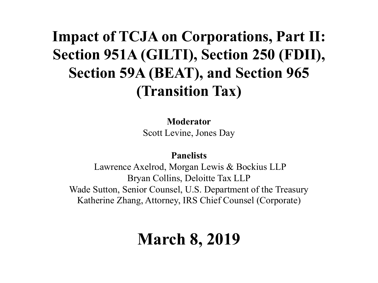#### **Impact of TCJA on Corporations, Part II: Section 951A (GILTI), Section 250 (FDII), Section 59A (BEAT), and Section 965 (Transition Tax)**

#### **Moderator**

Scott Levine, Jones Day

#### **Panelists**

Lawrence Axelrod, Morgan Lewis & Bockius LLP Bryan Collins, Deloitte Tax LLP Wade Sutton, Senior Counsel, U.S. Department of the Treasury Katherine Zhang, Attorney, IRS Chief Counsel (Corporate)

### **March 8, 2019**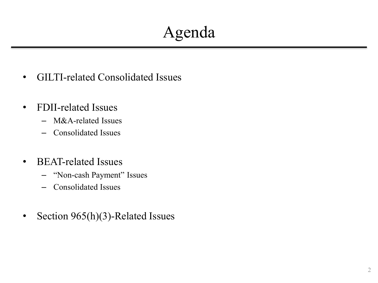### Agenda

- GILTI-related Consolidated Issues
- FDII-related Issues
	- M&A-related Issues
	- Consolidated Issues
- BEAT-related Issues
	- "Non-cash Payment" Issues
	- Consolidated Issues
- Section 965(h)(3)-Related Issues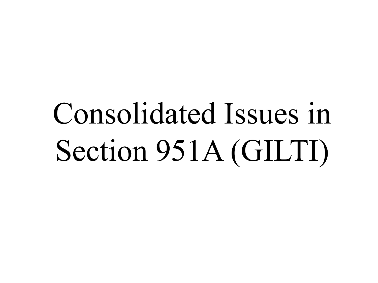# Consolidated Issues in Section 951A (GILTI)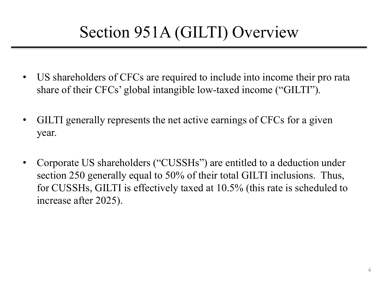### Section 951A (GILTI) Overview

- US shareholders of CFCs are required to include into income their pro rata share of their CFCs' global intangible low-taxed income ("GILTI").
- GILTI generally represents the net active earnings of CFCs for a given year.
- Corporate US shareholders ("CUSSHs") are entitled to a deduction under section 250 generally equal to 50% of their total GILTI inclusions. Thus, for CUSSHs, GILTI is effectively taxed at 10.5% (this rate is scheduled to increase after 2025).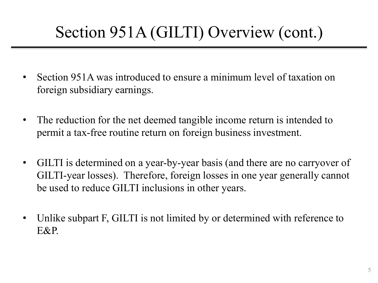### Section 951A (GILTI) Overview (cont.)

- Section 951A was introduced to ensure a minimum level of taxation on foreign subsidiary earnings.
- The reduction for the net deemed tangible income return is intended to permit a tax-free routine return on foreign business investment.
- GILTI is determined on a year-by-year basis (and there are no carryover of GILTI-year losses). Therefore, foreign losses in one year generally cannot be used to reduce GILTI inclusions in other years.
- Unlike subpart F, GILTI is not limited by or determined with reference to E&P.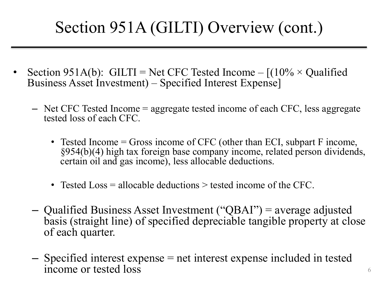### Section 951A (GILTI) Overview (cont.)

- Section 951A(b): GILTI = Net CFC Tested Income  $-[(10\% \times \text{Qualified}])$ Business Asset Investment) – Specified Interest Expense]
	- Net CFC Tested Income = aggregate tested income of each CFC, less aggregate tested loss of each CFC.
		- Tested Income = Gross income of CFC (other than ECI, subpart F income, §954(b)(4) high tax foreign base company income, related person dividends, certain oil and gas income), less allocable deductions.
		- Tested Loss = allocable deductions > tested income of the CFC.
	- Qualified Business Asset Investment ("QBAI") = average adjusted basis (straight line) of specified depreciable tangible property at close of each quarter.
	- Specified interest expense = net interest expense included in tested income or tested loss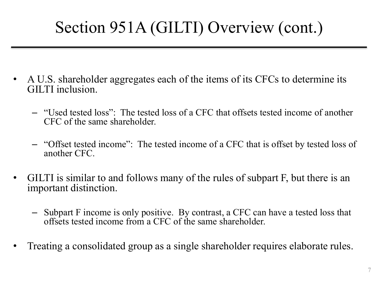### Section 951A (GILTI) Overview (cont.)

- A U.S. shareholder aggregates each of the items of its CFCs to determine its GILTI inclusion.
	- "Used tested loss": The tested loss of a CFC that offsets tested income of another CFC of the same shareholder.
	- "Offset tested income": The tested income of a CFC that is offset by tested loss of another CFC.
- GILTI is similar to and follows many of the rules of subpart F, but there is an important distinction.
	- Subpart F income is only positive. By contrast, a CFC can have a tested loss that offsets tested income from a CFC of the same shareholder.
- Treating a consolidated group as a single shareholder requires elaborate rules.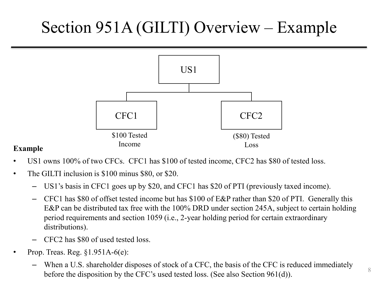### Section 951A (GILTI) Overview – Example



#### **Example**

- US1 owns 100% of two CFCs. CFC1 has \$100 of tested income, CFC2 has \$80 of tested loss.
- The GILTI inclusion is \$100 minus \$80, or \$20.
	- US1's basis in CFC1 goes up by \$20, and CFC1 has \$20 of PTI (previously taxed income).
	- CFC1 has \$80 of offset tested income but has \$100 of E&P rather than \$20 of PTI. Generally this E&P can be distributed tax free with the 100% DRD under section 245A, subject to certain holding period requirements and section 1059 (i.e., 2-year holding period for certain extraordinary distributions).
	- CFC2 has \$80 of used tested loss.
- Prop. Treas. Reg. §1.951A-6(e):
	- When a U.S. shareholder disposes of stock of a CFC, the basis of the CFC is reduced immediately before the disposition by the CFC's used tested loss. (See also Section 961(d)).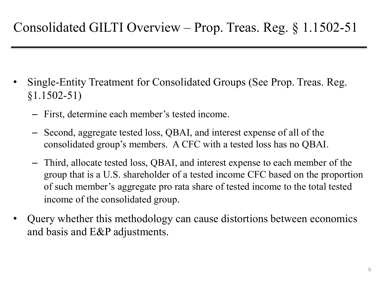- Single-Entity Treatment for Consolidated Groups (See Prop. Treas. Reg. §1.1502-51)
	- First, determine each member's tested income.
	- Second, aggregate tested loss, QBAI, and interest expense of all of the consolidated group's members. A CFC with a tested loss has no QBAI.
	- Third, allocate tested loss, QBAI, and interest expense to each member of the group that is a U.S. shareholder of a tested income CFC based on the proportion of such member's aggregate pro rata share of tested income to the total tested income of the consolidated group.
- Query whether this methodology can cause distortions between economics and basis and E&P adjustments.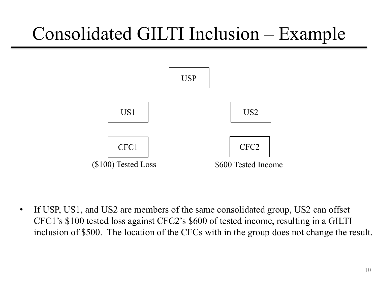## Consolidated GILTI Inclusion – Example



• If USP, US1, and US2 are members of the same consolidated group, US2 can offset CFC1's \$100 tested loss against CFC2's \$600 of tested income, resulting in a GILTI inclusion of \$500. The location of the CFCs with in the group does not change the result.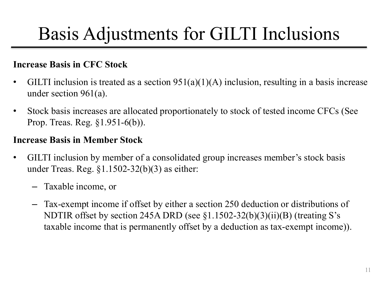## Basis Adjustments for GILTI Inclusions

#### **Increase Basis in CFC Stock**

- GILTI inclusion is treated as a section  $951(a)(1)(A)$  inclusion, resulting in a basis increase under section 961(a).
- Stock basis increases are allocated proportionately to stock of tested income CFCs (See Prop. Treas. Reg. §1.951-6(b)).

#### **Increase Basis in Member Stock**

- GILTI inclusion by member of a consolidated group increases member's stock basis under Treas. Reg.  $$1.1502-32(b)(3)$  as either:
	- Taxable income, or
	- Tax-exempt income if offset by either a section 250 deduction or distributions of NDTIR offset by section 245A DRD (see §1.1502-32(b)(3)(ii)(B) (treating S's taxable income that is permanently offset by a deduction as tax-exempt income)).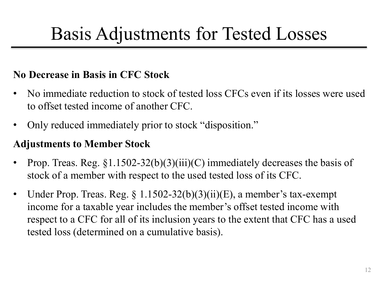### Basis Adjustments for Tested Losses

#### **No Decrease in Basis in CFC Stock**

- No immediate reduction to stock of tested loss CFCs even if its losses were used to offset tested income of another CFC.
- Only reduced immediately prior to stock "disposition."

#### **Adjustments to Member Stock**

- Prop. Treas. Reg.  $\S1.1502-32(b)(3)(iii)(C)$  immediately decreases the basis of stock of a member with respect to the used tested loss of its CFC.
- Under Prop. Treas. Reg.  $\S 1.1502-32(b)(3)(ii)(E)$ , a member's tax-exempt income for a taxable year includes the member's offset tested income with respect to a CFC for all of its inclusion years to the extent that CFC has a used tested loss (determined on a cumulative basis).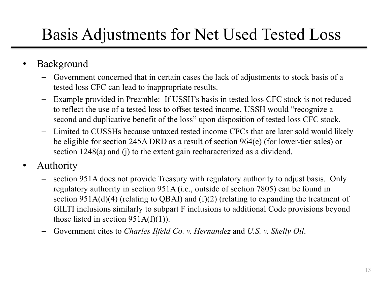### Basis Adjustments for Net Used Tested Loss

#### **Background**

- Government concerned that in certain cases the lack of adjustments to stock basis of a tested loss CFC can lead to inappropriate results.
- Example provided in Preamble: If USSH's basis in tested loss CFC stock is not reduced to reflect the use of a tested loss to offset tested income, USSH would "recognize a second and duplicative benefit of the loss" upon disposition of tested loss CFC stock.
- Limited to CUSSHs because untaxed tested income CFCs that are later sold would likely be eligible for section 245A DRD as a result of section 964(e) (for lower-tier sales) or section 1248(a) and (j) to the extent gain recharacterized as a dividend.
- Authority
	- section 951A does not provide Treasury with regulatory authority to adjust basis. Only regulatory authority in section 951A (i.e., outside of section 7805) can be found in section  $951A(d)(4)$  (relating to QBAI) and (f)(2) (relating to expanding the treatment of GILTI inclusions similarly to subpart F inclusions to additional Code provisions beyond those listed in section  $951A(f)(1)$ ).
	- Government cites to *Charles Ilfeld Co. v. Hernandez* and *U.S. v. Skelly Oil*.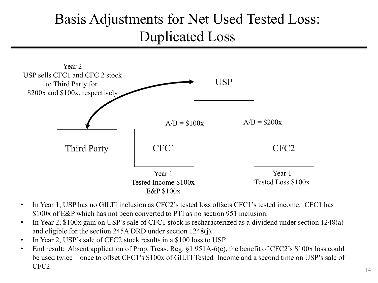#### Basis Adjustments for Net Used Tested Loss: Duplicated Loss



- In Year 1, USP has no GILTI inclusion as CFC2's tested loss offsets CFC1's tested income. CFC1 has \$100x of E&P which has not been converted to PTI as no section 951 inclusion.
- In Year 2, \$100x gain on USP's sale of CFC1 stock is recharacterized as a dividend under section 1248(a) and eligible for the section 245A DRD under section 1248(j).
- In Year 2, USP's sale of CFC2 stock results in a \$100 loss to USP.
- End result: Absent application of Prop. Treas. Reg.  $\S1.951A-6(e)$ , the benefit of CFC2's  $\S100x$  loss could be used twice—once to offset CFC1's \$100x of GILTI Tested Income and a second time on USP's sale of CFC2.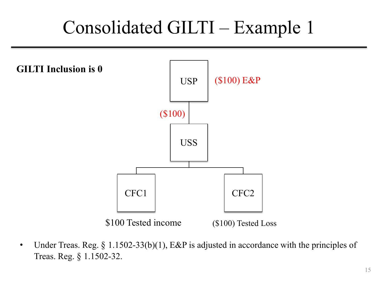## Consolidated GILTI – Example 1



• Under Treas. Reg. § 1.1502-33(b)(1), E&P is adjusted in accordance with the principles of Treas. Reg. § 1.1502-32.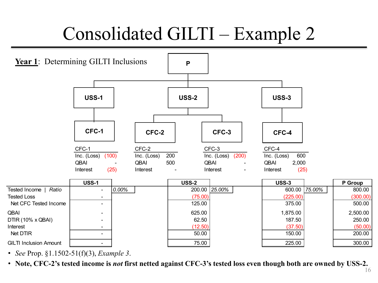## Consolidated GILTI – Example 2



• *See* Prop. §1.1502-51(f)(3), *Example 3*.

• **Note, CFC-2's tested income is** *not* **first netted against CFC-3's tested loss even though both are owned by USS-2.**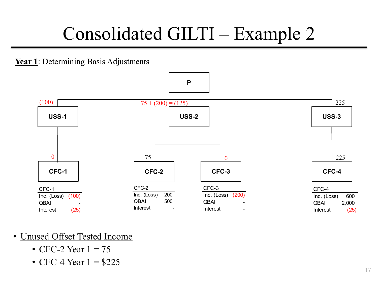## Consolidated GILTI – Example 2

**Year 1**: Determining Basis Adjustments



- Unused Offset Tested Income
	- CFC-2 Year  $1 = 75$
	- CFC-4 Year  $1 = $225$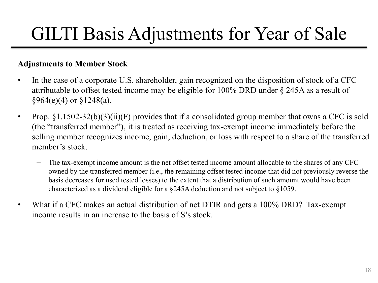## GILTI Basis Adjustments for Year of Sale

#### **Adjustments to Member Stock**

- In the case of a corporate U.S. shareholder, gain recognized on the disposition of stock of a CFC attributable to offset tested income may be eligible for 100% DRD under § 245A as a result of  $§964(e)(4)$  or  $§1248(a)$ .
- Prop.  $\S1.1502-32(b)(3)(ii)(F)$  provides that if a consolidated group member that owns a CFC is sold (the "transferred member"), it is treated as receiving tax-exempt income immediately before the selling member recognizes income, gain, deduction, or loss with respect to a share of the transferred member's stock.
	- The tax-exempt income amount is the net offset tested income amount allocable to the shares of any CFC owned by the transferred member (i.e., the remaining offset tested income that did not previously reverse the basis decreases for used tested losses) to the extent that a distribution of such amount would have been characterized as a dividend eligible for a §245A deduction and not subject to §1059.
- What if a CFC makes an actual distribution of net DTIR and gets a 100% DRD? Tax-exempt income results in an increase to the basis of S's stock.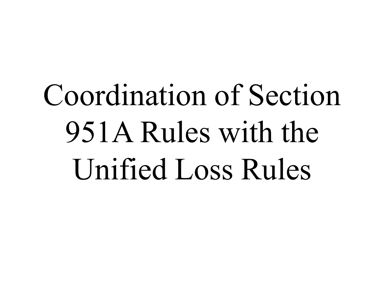# Coordination of Section 951A Rules with the Unified Loss Rules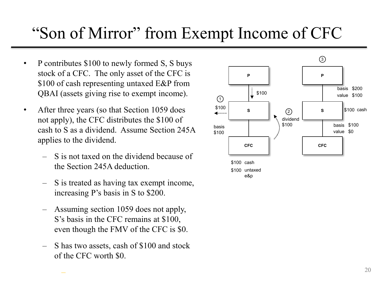#### "Son of Mirror" from Exempt Income of CFC

- P contributes \$100 to newly formed S, S buys stock of a CFC. The only asset of the CFC is \$100 of cash representing untaxed E&P from QBAI (assets giving rise to exempt income).
- After three years (so that Section 1059 does not apply), the CFC distributes the \$100 of cash to S as a dividend. Assume Section 245A applies to the dividend.
	- S is not taxed on the dividend because of the Section 245A deduction.
	- S is treated as having tax exempt income, increasing P's basis in S to \$200.
	- Assuming section 1059 does not apply, S's basis in the CFC remains at \$100, even though the FMV of the CFC is \$0. is not taxed on the dividend because of<br>
	e Section 245A deduction.<br>
	is treated as having tax exempt income,<br>
	creasing P's basis in S to \$200.<br>
	ssuming section 1059 does not apply,<br>
	s basis in the CFC remains at \$100,<br>
	en t
	- S has two assets, cash of \$100 and stock of the CFC worth \$0.

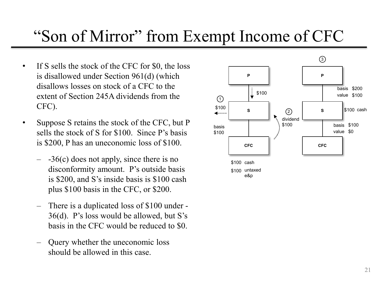#### "Son of Mirror" from Exempt Income of CFC

- If S sells the stock of the CFC for \$0, the loss is disallowed under Section 961(d) (which disallows losses on stock of a CFC to the extent of Section 245A dividends from the CFC).
- Suppose S retains the stock of the CFC, but P sells the stock of S for \$100. Since P's basis is \$200, P has an uneconomic loss of \$100.
	- $-$  -36(c) does not apply, since there is no disconformity amount. P's outside basis is \$200, and S's inside basis is \$100 cash plus \$100 basis in the CFC, or \$200.
	- There is a duplicated loss of \$100 under 36(d). P's loss would be allowed, but S's basis in the CFC would be reduced to \$0.
	- Query whether the uneconomic loss should be allowed in this case.

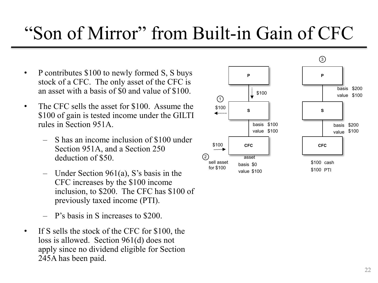## "Son of Mirror" from Built-in Gain of CFC

- P contributes \$100 to newly formed S, S buys stock of a CFC. The only asset of the CFC is an asset with a basis of \$0 and value of \$100.
- The CFC sells the asset for \$100. Assume the \$100 of gain is tested income under the GILTI rules in Section 951A.
	- S has an income inclusion of \$100 under Section 951A, and a Section 250 deduction of \$50.
	- Under Section  $961(a)$ , S's basis in the CFC increases by the \$100 income inclusion, to \$200. The CFC has \$100 of previously taxed income (PTI).
	- P's basis in S increases to \$200.
- If S sells the stock of the CFC for \$100, the loss is allowed. Section 961(d) does not apply since no dividend eligible for Section 245A has been paid.

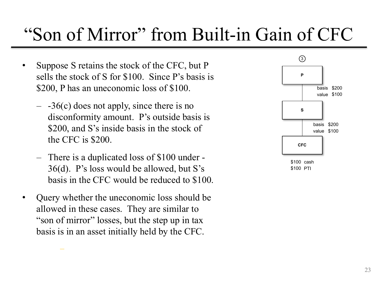### "Son of Mirror" from Built-in Gain of CFC

- Suppose S retains the stock of the CFC, but P sells the stock of S for \$100. Since P's basis is \$200, P has an uneconomic loss of \$100.
	- $-$  -36(c) does not apply, since there is no disconformity amount. P's outside basis is \$200, and S's inside basis in the stock of the CFC is \$200.
	- There is a duplicated loss of \$100 under 36(d). P's loss would be allowed, but S's basis in the CFC would be reduced to \$100.
- Query whether the uneconomic loss should be allowed in these cases. They are similar to "son of mirror" losses, but the step up in tax basis is in an asset initially held by the CFC.

–

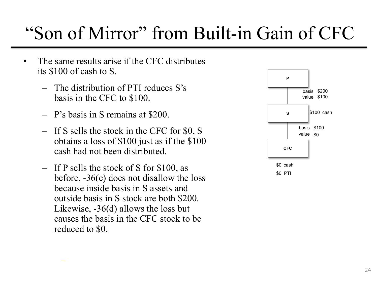### "Son of Mirror" from Built-in Gain of CFC

- The same results arise if the CFC distributes its \$100 of cash to S.
	- The distribution of PTI reduces S's basis in the CFC to \$100.
	- P's basis in S remains at \$200.

–

- If S sells the stock in the CFC for \$0, S obtains a loss of \$100 just as if the \$100 cash had not been distributed.
- If P sells the stock of S for \$100, as before, -36(c) does not disallow the loss because inside basis in S assets and outside basis in S stock are both \$200. Likewise, -36(d) allows the loss but causes the basis in the CFC stock to be reduced to \$0.

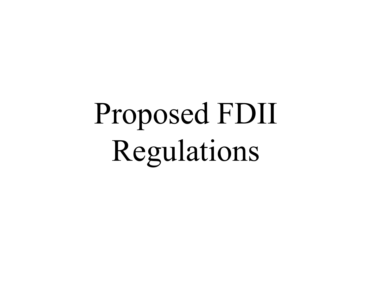# Proposed FDII Regulations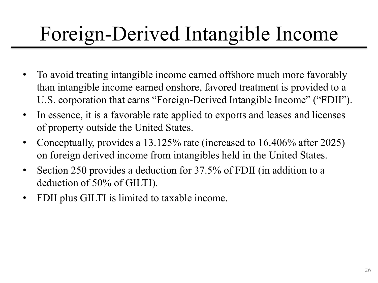## Foreign-Derived Intangible Income

- To avoid treating intangible income earned offshore much more favorably than intangible income earned onshore, favored treatment is provided to a U.S. corporation that earns "Foreign-Derived Intangible Income" ("FDII").
- In essence, it is a favorable rate applied to exports and leases and licenses of property outside the United States.
- Conceptually, provides a 13.125% rate (increased to 16.406% after 2025) on foreign derived income from intangibles held in the United States.
- Section 250 provides a deduction for 37.5% of FDII (in addition to a deduction of 50% of GILTI).
- FDII plus GILTI is limited to taxable income.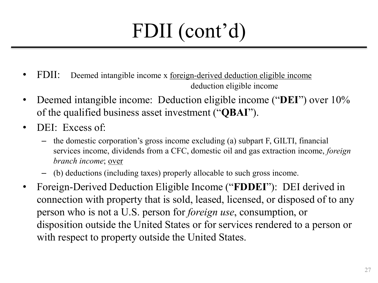## FDII (cont'd)

- FDII: Deemed intangible income x foreign-derived deduction eligible income deduction eligible income
- Deemed intangible income: Deduction eligible income ("**DEI**") over 10% of the qualified business asset investment ("**QBAI**").
- DEI: Excess of:
	- the domestic corporation's gross income excluding (a) subpart F, GILTI, financial services income, dividends from a CFC, domestic oil and gas extraction income, *foreign branch income*; over
	- (b) deductions (including taxes) properly allocable to such gross income.
- Foreign-Derived Deduction Eligible Income ("**FDDEI**"): DEI derived in connection with property that is sold, leased, licensed, or disposed of to any person who is not a U.S. person for *foreign use*, consumption, or disposition outside the United States or for services rendered to a person or with respect to property outside the United States.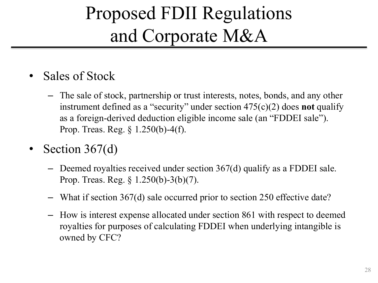## Proposed FDII Regulations and Corporate M&A

- Sales of Stock
	- The sale of stock, partnership or trust interests, notes, bonds, and any other instrument defined as a "security" under section 475(c)(2) does **not** qualify as a foreign-derived deduction eligible income sale (an "FDDEI sale"). Prop. Treas. Reg. § 1.250(b)-4(f).
- Section  $367(d)$ 
	- Deemed royalties received under section 367(d) qualify as a FDDEI sale. Prop. Treas. Reg. § 1.250(b)-3(b)(7).
	- What if section 367(d) sale occurred prior to section 250 effective date?
	- How is interest expense allocated under section 861 with respect to deemed royalties for purposes of calculating FDDEI when underlying intangible is owned by CFC?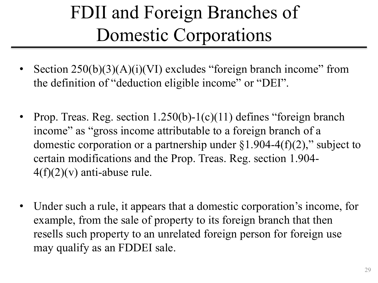## FDII and Foreign Branches of Domestic Corporations

- Section  $250(b)(3)(A)(i)(V)$  excludes "foreign branch income" from the definition of "deduction eligible income" or "DEI".
- Prop. Treas. Reg. section  $1.250(b)$ -1(c)(11) defines "foreign branch income" as "gross income attributable to a foreign branch of a domestic corporation or a partnership under  $\S1.904-4(f)(2)$ ," subject to certain modifications and the Prop. Treas. Reg. section 1.904-  $4(f)(2)(v)$  anti-abuse rule.
- Under such a rule, it appears that a domestic corporation's income, for example, from the sale of property to its foreign branch that then resells such property to an unrelated foreign person for foreign use may qualify as an FDDEI sale.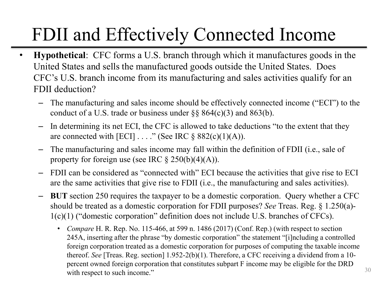## FDII and Effectively Connected Income

- **Hypothetical**: CFC forms a U.S. branch through which it manufactures goods in the United States and sells the manufactured goods outside the United States. Does CFC's U.S. branch income from its manufacturing and sales activities qualify for an FDII deduction?
	- The manufacturing and sales income should be effectively connected income ("ECI") to the conduct of a U.S. trade or business under  $\S § 864(c)(3)$  and  $863(b)$ .
	- In determining its net ECI, the CFC is allowed to take deductions "to the extent that they are connected with  $[ECI] \ldots$ ." (See IRC § 882(c)(1)(A)).
	- The manufacturing and sales income may fall within the definition of FDII (i.e., sale of property for foreign use (see IRC  $\S 250(b)(4)(A)$ ).
	- FDII can be considered as "connected with" ECI because the activities that give rise to ECI are the same activities that give rise to FDII (i.e., the manufacturing and sales activities).
	- **BUT** section 250 requires the taxpayer to be a domestic corporation. Query whether a CFC should be treated as a domestic corporation for FDII purposes? *See* Treas. Reg. § 1.250(a)- 1(c)(1) ("domestic corporation" definition does not include U.S. branches of CFCs).
		- *Compare* H. R. Rep. No. 115-466, at 599 n. 1486 (2017) (Conf. Rep.) (with respect to section 245A, inserting after the phrase "by domestic corporation" the statement "[i]ncluding a controlled foreign corporation treated as a domestic corporation for purposes of computing the taxable income thereof. *See* [Treas. Reg. section] 1.952-2(b)(1). Therefore, a CFC receiving a dividend from a 10 percent owned foreign corporation that constitutes subpart F income may be eligible for the DRD with respect to such income."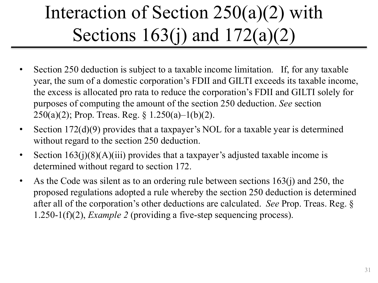## Interaction of Section 250(a)(2) with Sections 163(j) and 172(a)(2)

- Section 250 deduction is subject to a taxable income limitation. If, for any taxable year, the sum of a domestic corporation's FDII and GILTI exceeds its taxable income, the excess is allocated pro rata to reduce the corporation's FDII and GILTI solely for purposes of computing the amount of the section 250 deduction. *See* section 250(a)(2); Prop. Treas. Reg. § 1.250(a)-1(b)(2).
- Section 172(d)(9) provides that a taxpayer's NOL for a taxable year is determined without regard to the section 250 deduction.
- Section  $163(j)(8)(A)(iii)$  provides that a taxpayer's adjusted taxable income is determined without regard to section 172.
- As the Code was silent as to an ordering rule between sections 163(j) and 250, the proposed regulations adopted a rule whereby the section 250 deduction is determined after all of the corporation's other deductions are calculated. *See* Prop. Treas. Reg. § 1.250-1(f)(2), *Example 2* (providing a five-step sequencing process).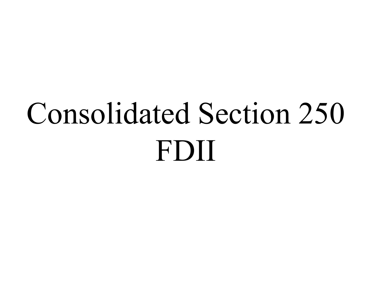# Consolidated Section 250 FDII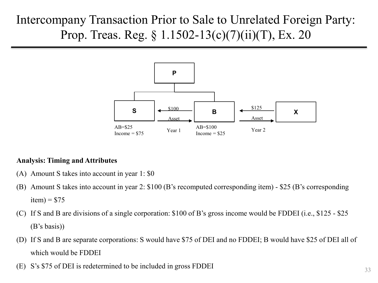#### Intercompany Transaction Prior to Sale to Unrelated Foreign Party: Prop. Treas. Reg. § 1.1502-13(c)(7)(ii)(T), Ex. 20



#### **Analysis: Timing and Attributes**

- (A) Amount S takes into account in year 1: \$0
- (B) Amount S takes into account in year 2: \$100 (B's recomputed corresponding item) \$25 (B's corresponding  $item) = $75$
- (C) If S and B are divisions of a single corporation: \$100 of B's gross income would be FDDEI (i.e., \$125 \$25 (B's basis))
- (D) If S and B are separate corporations: S would have \$75 of DEI and no FDDEI; B would have \$25 of DEI all of which would be FDDEI
- (E) S's \$75 of DEI is redetermined to be included in gross FDDEI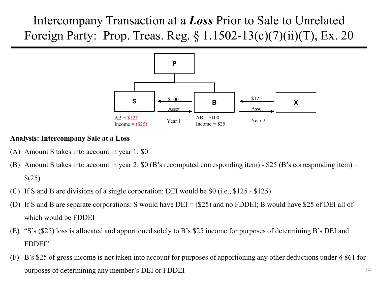Intercompany Transaction at a *Loss* Prior to Sale to Unrelated Foreign Party: Prop. Treas. Reg. § 1.1502-13(c)(7)(ii)(T), Ex. 20



#### **Analysis: Intercompany Sale at a Loss**

- (A) Amount S takes into account in year 1: \$0
- (B) Amount S takes into account in year 2:  $$0$  (B's recomputed corresponding item)  $$25$  (B's corresponding item) =  $$(25)$
- (C) If S and B are divisions of a single corporation: DEI would be \$0 (i.e., \$125 \$125)
- (D) If S and B are separate corporations: S would have DEI = (\$25) and no FDDEI; B would have \$25 of DEI all of which would be FDDEI
- (E) "S's (\$25) loss is allocated and apportioned solely to B's \$25 income for purposes of determining B's DEI and FDDEI"
- 34 (F) B's \$25 of gross income is not taken into account for purposes of apportioning any other deductions under § 861 for purposes of determining any member's DEI or FDDEI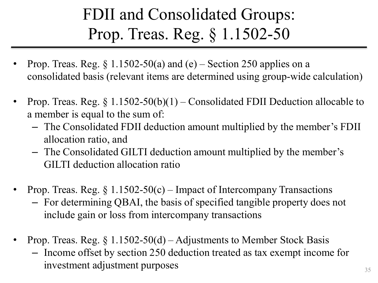### FDII and Consolidated Groups: Prop. Treas. Reg. § 1.1502-50

- Prop. Treas. Reg.  $\S 1.1502-50(a)$  and (e) Section 250 applies on a consolidated basis (relevant items are determined using group-wide calculation)
- Prop. Treas. Reg.  $\S 1.1502-50(b)(1)$  Consolidated FDII Deduction allocable to a member is equal to the sum of:
	- The Consolidated FDII deduction amount multiplied by the member's FDII allocation ratio, and
	- The Consolidated GILTI deduction amount multiplied by the member's GILTI deduction allocation ratio
- Prop. Treas. Reg.  $\S 1.1502-50(c)$  Impact of Intercompany Transactions
	- For determining QBAI, the basis of specified tangible property does not include gain or loss from intercompany transactions
- Prop. Treas. Reg.  $\S 1.1502-50(d) -$ Adjustments to Member Stock Basis
	- Income offset by section 250 deduction treated as tax exempt income for investment adjustment purposes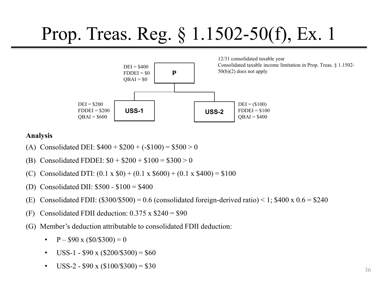## Prop. Treas. Reg. § 1.1502-50(f), Ex. 1



#### **Analysis**

- (A) Consolidated DEI:  $$400 + $200 + (-100) = $500 > 0$
- (B) Consolidated FDDEI:  $$0 + $200 + $100 = $300 > 0$
- (C) Consolidated DTI:  $(0.1 \times $0) + (0.1 \times $600) + (0.1 \times $400) = $100$
- (D) Consolidated DII: \$500 \$100 = \$400
- (E) Consolidated FDII:  $(\$300/\$500) = 0.6$  (consolidated foreign-derived ratio) < 1;  $\$400 \times 0.6 = \$240$
- (F) Consolidated FDII deduction:  $0.375 \times $240 = $90$
- (G) Member's deduction attributable to consolidated FDII deduction:
	- $P $90 \times (\$0\frac{\$300}{}) = 0$
	- USS-1  $$90 \times ($200/$300) = $60$
	- USS-2  $$90 \times ($100\text{/} $300) = $30$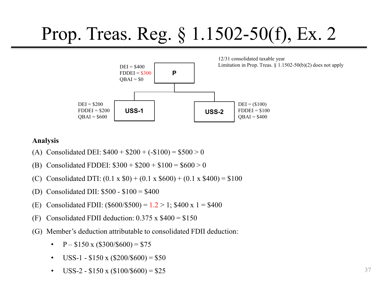

#### **Analysis**

- (A) Consolidated DEI:  $$400 + $200 + (-100) = $500 > 0$
- (B) Consolidated FDDEI:  $\$300 + \$200 + \$100 = \$600 > 0$
- (C) Consolidated DTI:  $(0.1 \times $0) + (0.1 \times $600) + (0.1 \times $400) = $100$
- (D) Consolidated DII: \$500 \$100 = \$400
- (E) Consolidated FDII:  $(\$600/\$500) = 1.2 > 1$ ; \$400 x 1 = \$400
- (F) Consolidated FDII deduction:  $0.375 \times $400 = $150$
- (G) Member's deduction attributable to consolidated FDII deduction:
	- $P $150 \times ($300/$600) = $75$
	- USS-1 \$150 x  $(\$200/\$600) = \$50$
	- USS-2  $$150 \times ($100/$600) = $25$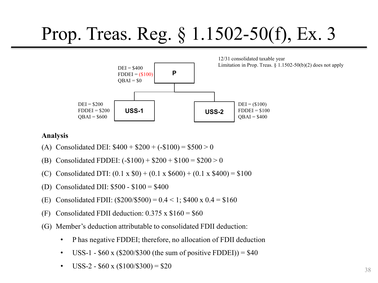

#### **Analysis**

- (A) Consolidated DEI:  $$400 + $200 + (-100) = $500 > 0$
- (B) Consolidated FDDEI:  $(-\$100) + \$200 + \$100 = \$200 > 0$
- (C) Consolidated DTI:  $(0.1 \times $0) + (0.1 \times $600) + (0.1 \times $400) = $100$
- (D) Consolidated DII: \$500 \$100 = \$400
- (E) Consolidated FDII:  $(\$200/\$500) = 0.4 < 1$ ; \$400 x  $0.4 = \$160$
- (F) Consolidated FDII deduction:  $0.375 \times \$160 = \$60$
- (G) Member's deduction attributable to consolidated FDII deduction:
	- P has negative FDDEI; therefore, no allocation of FDII deduction
	- USS-1 \$60 x (\$200/\$300 (the sum of positive FDDEI)) = \$40
	- USS-2  $$60 \times ($100\text{/}3300) = $20$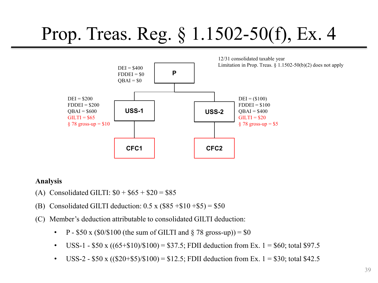

#### **Analysis**

- (A) Consolidated GILTI:  $$0 + $65 + $20 = $85$
- (B) Consolidated GILTI deduction:  $0.5 \times (\$85 + \$10 + \$5) = \$50$
- (C) Member's deduction attributable to consolidated GILTI deduction:
	- P \$50 x (\$0/\$100 (the sum of GILTI and  $\S$  78 gross-up)) = \$0
	- USS-1 \$50 x  $((65+$10)/$100) = $37.5$ ; FDII deduction from Ex. 1 = \$60; total \$97.5
	- USS-2 \$50 x  $((\$20+\$5)\$ (\$100) = \$12.5; FDII deduction from Ex. 1 = \$30; total \$42.5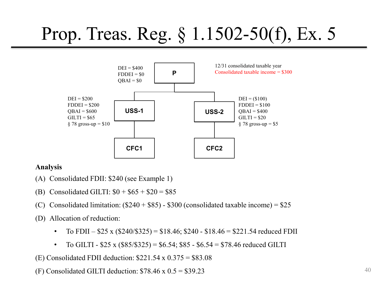

#### **Analysis**

- (A) Consolidated FDII: \$240 (see Example 1)
- (B) Consolidated GILTI:  $$0 + $65 + $20 = $85$
- (C) Consolidated limitation:  $(\$240 + \$85) \$300$  (consolidated taxable income) =  $\$25$
- (D) Allocation of reduction:
	- To FDII  $$25 \times ($240/\$325) = $18.46; $240 $18.46 = $221.54$  reduced FDII
	- To GILTI  $$25 \times ($85/\$325) = $6.54$ ; \$85 \$6.54 = \$78.46 reduced GILTI

(E) Consolidated FDII deduction:  $$221.54 \times 0.375 = $83.08$ 

(F) Consolidated GILTI deduction:  $$78.46 \times 0.5 = $39.23$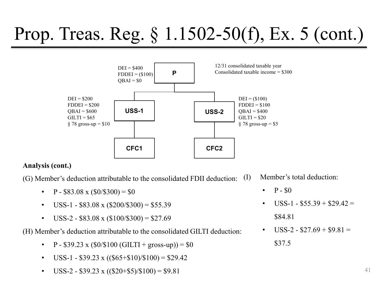### Prop. Treas. Reg. § 1.1502-50(f), Ex. 5 (cont.)



#### **Analysis (cont.)**

(G) Member's deduction attributable to the consolidated FDII deduction:

- P \$83.08 x  $(\$0/\$300) = \$0$
- USS-1 \$83.08 x  $(\$200/\$300) = $55.39$
- USS-2 \$83.08 x  $(\$100/\$300) = \$27.69$

(H) Member's deduction attributable to the consolidated GILTI deduction:

- P \$39.23 x (\$0/\$100 (GILTI + gross-up)) = \$0
- USS-1 \$39.23 x  $((\$65 + \$10)/\$100) = \$29.42$
- USS-2 \$39.23 x  $((\$20 + \$5)/\$100) = \$9.81$

Member's total deduction:

- $P $0$
- $USS-1 $55.39 + $29.42 =$ \$84.81
- $USS-2 $27.69 + $9.81 =$ \$37.5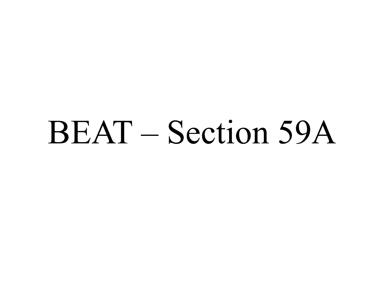## BEAT – Section 59A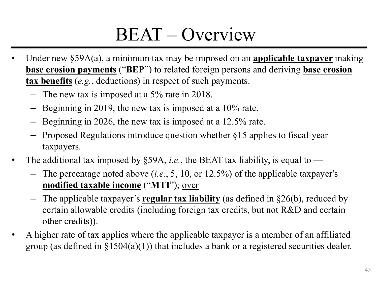### BEAT – Overview

- Under new §59A(a), a minimum tax may be imposed on an **applicable taxpayer** making **base erosion payments** ("**BEP**") to related foreign persons and deriving **base erosion tax benefits** (*e.g.*, deductions) in respect of such payments.
	- The new tax is imposed at a 5% rate in 2018.
	- Beginning in 2019, the new tax is imposed at a 10% rate.
	- Beginning in 2026, the new tax is imposed at a 12.5% rate.
	- Proposed Regulations introduce question whether §15 applies to fiscal-year taxpayers.
- The additional tax imposed by  $\S$ 59A, *i.e.*, the BEAT tax liability, is equal to
	- The percentage noted above (*i.e.*, 5, 10, or 12.5%) of the applicable taxpayer's **modified taxable income** ("**MTI**"); over
	- The applicable taxpayer's **regular tax liability** (as defined in §26(b), reduced by certain allowable credits (including foreign tax credits, but not R&D and certain other credits)).
- A higher rate of tax applies where the applicable taxpayer is a member of an affiliated group (as defined in  $\S1504(a)(1)$ ) that includes a bank or a registered securities dealer.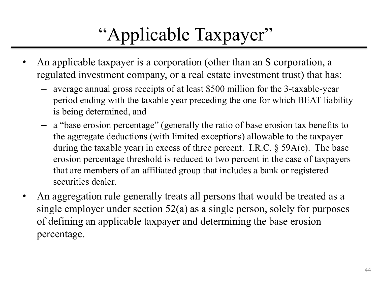### "Applicable Taxpayer"

- An applicable taxpayer is a corporation (other than an S corporation, a regulated investment company, or a real estate investment trust) that has:
	- average annual gross receipts of at least \$500 million for the 3-taxable-year period ending with the taxable year preceding the one for which BEAT liability is being determined, and
	- a "base erosion percentage" (generally the ratio of base erosion tax benefits to the aggregate deductions (with limited exceptions) allowable to the taxpayer during the taxable year) in excess of three percent. I.R.C. § 59A(e). The base erosion percentage threshold is reduced to two percent in the case of taxpayers that are members of an affiliated group that includes a bank or registered securities dealer.
- An aggregation rule generally treats all persons that would be treated as a single employer under section 52(a) as a single person, solely for purposes of defining an applicable taxpayer and determining the base erosion percentage.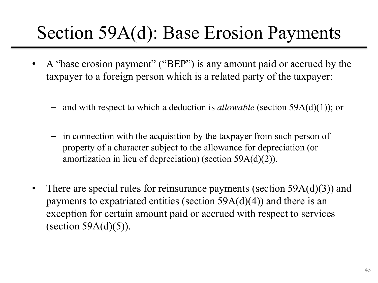### Section 59A(d): Base Erosion Payments

- A "base erosion payment" ("BEP") is any amount paid or accrued by the taxpayer to a foreign person which is a related party of the taxpayer:
	- and with respect to which a deduction is *allowable* (section 59A(d)(1)); or
	- in connection with the acquisition by the taxpayer from such person of property of a character subject to the allowance for depreciation (or amortization in lieu of depreciation) (section 59A(d)(2)).
- There are special rules for reinsurance payments (section  $59A(d)(3)$ ) and payments to expatriated entities (section  $59A(d)(4)$ ) and there is an exception for certain amount paid or accrued with respect to services (section  $59A(d)(5)$ ).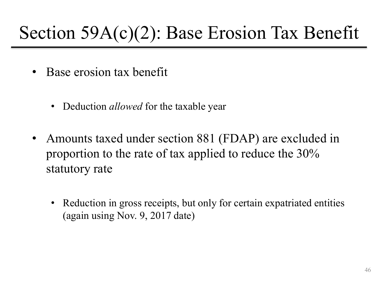### Section 59A(c)(2): Base Erosion Tax Benefit

- Base erosion tax benefit
	- Deduction *allowed* for the taxable year
- Amounts taxed under section 881 (FDAP) are excluded in proportion to the rate of tax applied to reduce the 30% statutory rate
	- Reduction in gross receipts, but only for certain expatriated entities (again using Nov. 9, 2017 date)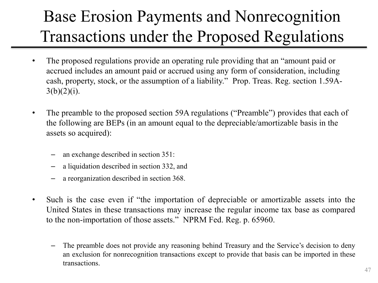#### Base Erosion Payments and Nonrecognition Transactions under the Proposed Regulations

- The proposed regulations provide an operating rule providing that an "amount paid or accrued includes an amount paid or accrued using any form of consideration, including cash, property, stock, or the assumption of a liability." Prop. Treas. Reg. section 1.59A- $3(b)(2)(i)$ .
- The preamble to the proposed section 59A regulations ("Preamble") provides that each of the following are BEPs (in an amount equal to the depreciable/amortizable basis in the assets so acquired):
	- an exchange described in section 351:
	- a liquidation described in section 332, and
	- a reorganization described in section 368.
- Such is the case even if "the importation of depreciable or amortizable assets into the United States in these transactions may increase the regular income tax base as compared to the non-importation of those assets." NPRM Fed. Reg. p. 65960.
	- The preamble does not provide any reasoning behind Treasury and the Service's decision to deny an exclusion for nonrecognition transactions except to provide that basis can be imported in these transactions.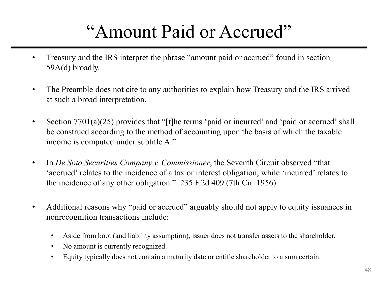### "Amount Paid or Accrued"

- Treasury and the IRS interpret the phrase "amount paid or accrued" found in section 59A(d) broadly.
- The Preamble does not cite to any authorities to explain how Treasury and the IRS arrived at such a broad interpretation.
- Section 7701(a)(25) provides that "[t]he terms 'paid or incurred' and 'paid or accrued' shall be construed according to the method of accounting upon the basis of which the taxable income is computed under subtitle A."
- In *De Soto Securities Company v. Commissioner*, the Seventh Circuit observed "that 'accrued' relates to the incidence of a tax or interest obligation, while 'incurred' relates to the incidence of any other obligation." 235 F.2d 409 (7th Cir. 1956).
- Additional reasons why "paid or accrued" arguably should not apply to equity issuances in nonrecognition transactions include:
	- Aside from boot (and liability assumption), issuer does not transfer assets to the shareholder.
	- No amount is currently recognized.
	- Equity typically does not contain a maturity date or entitle shareholder to a sum certain.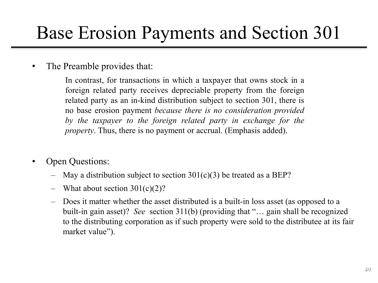### Base Erosion Payments and Section 301

#### The Preamble provides that:

In contrast, for transactions in which a taxpayer that owns stock in a foreign related party receives depreciable property from the foreign related party as an in-kind distribution subject to section 301, there is no base erosion payment *because there is no consideration provided by the taxpayer to the foreign related party in exchange for the property*. Thus, there is no payment or accrual. (Emphasis added).

- Open Questions:
	- May a distribution subject to section  $301(c)(3)$  be treated as a BEP?
	- What about section  $301(c)(2)$ ?
	- Does it matter whether the asset distributed is a built-in loss asset (as opposed to a built-in gain asset)? *See* section 311(b) (providing that "… gain shall be recognized to the distributing corporation as if such property were sold to the distributee at its fair market value").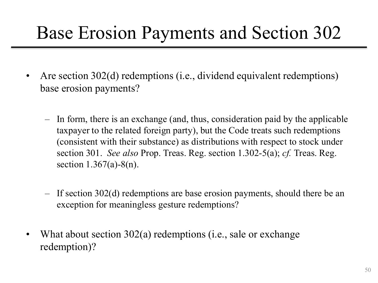### Base Erosion Payments and Section 302

- Are section 302(d) redemptions (i.e., dividend equivalent redemptions) base erosion payments?
	- In form, there is an exchange (and, thus, consideration paid by the applicable taxpayer to the related foreign party), but the Code treats such redemptions (consistent with their substance) as distributions with respect to stock under section 301. *See also* Prop. Treas. Reg. section 1.302-5(a); *cf.* Treas. Reg. section 1.367(a)-8(n).
	- If section 302(d) redemptions are base erosion payments, should there be an exception for meaningless gesture redemptions?
- What about section 302(a) redemptions (i.e., sale or exchange redemption)?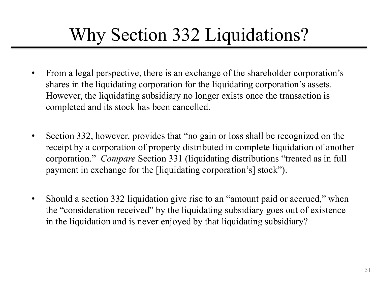### Why Section 332 Liquidations?

- From a legal perspective, there is an exchange of the shareholder corporation's shares in the liquidating corporation for the liquidating corporation's assets. However, the liquidating subsidiary no longer exists once the transaction is completed and its stock has been cancelled.
- Section 332, however, provides that "no gain or loss shall be recognized on the receipt by a corporation of property distributed in complete liquidation of another corporation." *Compare* Section 331 (liquidating distributions "treated as in full payment in exchange for the [liquidating corporation's] stock").
- Should a section 332 liquidation give rise to an "amount paid or accrued," when the "consideration received" by the liquidating subsidiary goes out of existence in the liquidation and is never enjoyed by that liquidating subsidiary?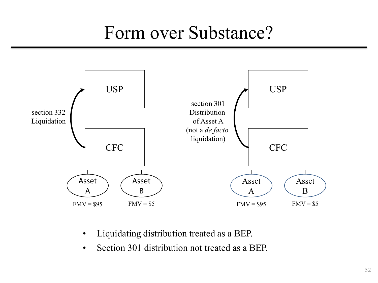### Form over Substance?



- Liquidating distribution treated as a BEP.
- Section 301 distribution not treated as a BEP.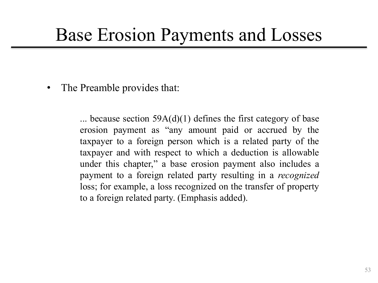### Base Erosion Payments and Losses

The Preamble provides that:

... because section  $59A(d)(1)$  defines the first category of base erosion payment as "any amount paid or accrued by the taxpayer to a foreign person which is a related party of the taxpayer and with respect to which a deduction is allowable under this chapter," a base erosion payment also includes a payment to a foreign related party resulting in a *recognized* loss; for example, a loss recognized on the transfer of property to a foreign related party. (Emphasis added).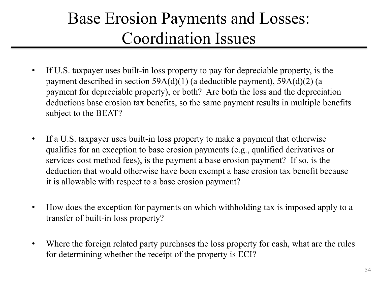#### Base Erosion Payments and Losses: Coordination Issues

- If U.S. taxpayer uses built-in loss property to pay for depreciable property, is the payment described in section 59A(d)(1) (a deductible payment), 59A(d)(2) (a payment for depreciable property), or both? Are both the loss and the depreciation deductions base erosion tax benefits, so the same payment results in multiple benefits subject to the BEAT?
- If a U.S. taxpayer uses built-in loss property to make a payment that otherwise qualifies for an exception to base erosion payments (e.g., qualified derivatives or services cost method fees), is the payment a base erosion payment? If so, is the deduction that would otherwise have been exempt a base erosion tax benefit because it is allowable with respect to a base erosion payment?
- How does the exception for payments on which withholding tax is imposed apply to a transfer of built-in loss property?
- Where the foreign related party purchases the loss property for cash, what are the rules for determining whether the receipt of the property is ECI?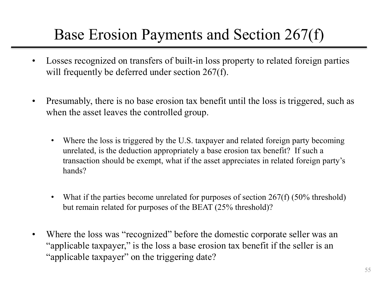#### Base Erosion Payments and Section 267(f)

- Losses recognized on transfers of built-in loss property to related foreign parties will frequently be deferred under section 267(f).
- Presumably, there is no base erosion tax benefit until the loss is triggered, such as when the asset leaves the controlled group.
	- Where the loss is triggered by the U.S. taxpayer and related foreign party becoming unrelated, is the deduction appropriately a base erosion tax benefit? If such a transaction should be exempt, what if the asset appreciates in related foreign party's hands?
	- What if the parties become unrelated for purposes of section  $267(f)$  (50% threshold) but remain related for purposes of the BEAT (25% threshold)?
- Where the loss was "recognized" before the domestic corporate seller was an "applicable taxpayer," is the loss a base erosion tax benefit if the seller is an "applicable taxpayer" on the triggering date?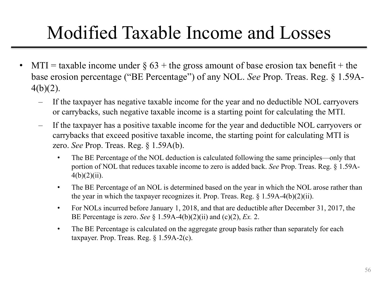### Modified Taxable Income and Losses

- $MTI =$  taxable income under  $\S$  63 + the gross amount of base erosion tax benefit + the base erosion percentage ("BE Percentage") of any NOL. *See* Prop. Treas. Reg. § 1.59A-4(b)(2).
	- If the taxpayer has negative taxable income for the year and no deductible NOL carryovers or carrybacks, such negative taxable income is a starting point for calculating the MTI.
	- If the taxpayer has a positive taxable income for the year and deductible NOL carryovers or carrybacks that exceed positive taxable income, the starting point for calculating MTI is zero. *See* Prop. Treas. Reg. § 1.59A(b).
		- The BE Percentage of the NOL deduction is calculated following the same principles—only that portion of NOL that reduces taxable income to zero is added back. *See* Prop. Treas. Reg. § 1.59A- $4(b)(2)(ii)$ .
		- The BE Percentage of an NOL is determined based on the year in which the NOL arose rather than the year in which the taxpayer recognizes it. Prop. Treas. Reg. § 1.59A-4(b)(2)(ii).
		- For NOLs incurred before January 1, 2018, and that are deductible after December 31, 2017, the BE Percentage is zero. *See* § 1.59A-4(b)(2)(ii) and (c)(2), *Ex.* 2.
		- The BE Percentage is calculated on the aggregate group basis rather than separately for each taxpayer. Prop. Treas. Reg. § 1.59A-2(c).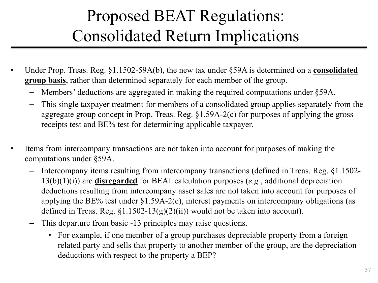#### Proposed BEAT Regulations: Consolidated Return Implications

- Under Prop. Treas. Reg. §1.1502-59A(b), the new tax under §59A is determined on a **consolidated group basis**, rather than determined separately for each member of the group.
	- Members' deductions are aggregated in making the required computations under §59A.
	- This single taxpayer treatment for members of a consolidated group applies separately from the aggregate group concept in Prop. Treas. Reg. §1.59A-2(c) for purposes of applying the gross receipts test and BE% test for determining applicable taxpayer.
- Items from intercompany transactions are not taken into account for purposes of making the computations under §59A.
	- Intercompany items resulting from intercompany transactions (defined in Treas. Reg. §1.1502- 13(b)(1)(i)) are **disregarded** for BEAT calculation purposes (*e.g.*, additional depreciation deductions resulting from intercompany asset sales are not taken into account for purposes of applying the BE% test under §1.59A-2(e), interest payments on intercompany obligations (as defined in Treas. Reg.  $$1.1502-13(g)(2)(ii))$  would not be taken into account).
	- This departure from basic -13 principles may raise questions.
		- For example, if one member of a group purchases depreciable property from a foreign related party and sells that property to another member of the group, are the depreciation deductions with respect to the property a BEP?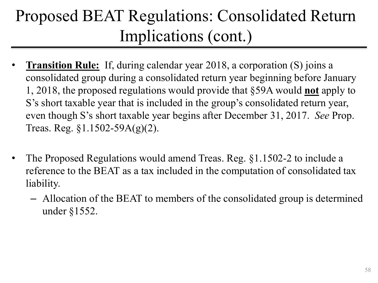#### Proposed BEAT Regulations: Consolidated Return Implications (cont.)

- **Transition Rule:** If, during calendar year 2018, a corporation (S) joins a consolidated group during a consolidated return year beginning before January 1, 2018, the proposed regulations would provide that §59A would **not** apply to S's short taxable year that is included in the group's consolidated return year, even though S's short taxable year begins after December 31, 2017. *See* Prop. Treas. Reg. §1.1502-59A(g)(2).
- The Proposed Regulations would amend Treas. Reg. §1.1502-2 to include a reference to the BEAT as a tax included in the computation of consolidated tax liability.
	- Allocation of the BEAT to members of the consolidated group is determined under §1552.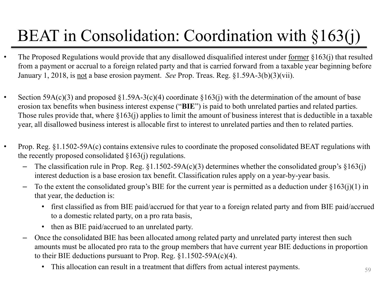### BEAT in Consolidation: Coordination with §163(j)

- The Proposed Regulations would provide that any disallowed disqualified interest under <u>former</u> §163(j) that resulted from a payment or accrual to a foreign related party and that is carried forward from a taxable year beginning before January 1, 2018, is not a base erosion payment. *See* Prop. Treas. Reg. §1.59A-3(b)(3)(vii).
- Section 59A(c)(3) and proposed  $\S1.59A-3(c)(4)$  coordinate  $\S163(i)$  with the determination of the amount of base erosion tax benefits when business interest expense ("**BIE**") is paid to both unrelated parties and related parties. Those rules provide that, where §163(j) applies to limit the amount of business interest that is deductible in a taxable year, all disallowed business interest is allocable first to interest to unrelated parties and then to related parties.
- Prop. Reg. §1.1502-59A(c) contains extensive rules to coordinate the proposed consolidated BEAT regulations with the recently proposed consolidated  $\S 163(i)$  regulations.
	- The classification rule in Prop. Reg.  $\S1.1502-59A(c)(3)$  determines whether the consolidated group's  $\S163(i)$ interest deduction is a base erosion tax benefit. Classification rules apply on a year-by-year basis.
	- $-$  To the extent the consolidated group's BIE for the current year is permitted as a deduction under  $\S163(j)(1)$  in that year, the deduction is:
		- first classified as from BIE paid/accrued for that year to a foreign related party and from BIE paid/accrued to a domestic related party, on a pro rata basis,
		- then as BIE paid/accrued to an unrelated party.
	- Once the consolidated BIE has been allocated among related party and unrelated party interest then such amounts must be allocated pro rata to the group members that have current year BIE deductions in proportion to their BIE deductions pursuant to Prop. Reg. §1.1502-59A(c)(4).
		- This allocation can result in a treatment that differs from actual interest payments.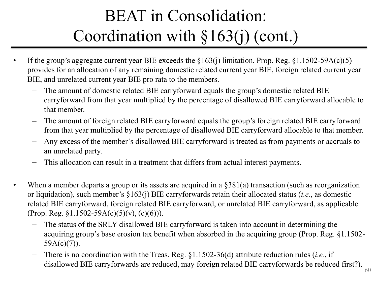### BEAT in Consolidation: Coordination with §163(j) (cont.)

- If the group's aggregate current year BIE exceeds the  $\S163(j)$  limitation, Prop. Reg.  $\S1.1502-59A(c)(5)$ provides for an allocation of any remaining domestic related current year BIE, foreign related current year BIE, and unrelated current year BIE pro rata to the members.
	- The amount of domestic related BIE carryforward equals the group's domestic related BIE carryforward from that year multiplied by the percentage of disallowed BIE carryforward allocable to that member.
	- The amount of foreign related BIE carryforward equals the group's foreign related BIE carryforward from that year multiplied by the percentage of disallowed BIE carryforward allocable to that member.
	- Any excess of the member's disallowed BIE carryforward is treated as from payments or accruals to an unrelated party.
	- This allocation can result in a treatment that differs from actual interest payments.
- When a member departs a group or its assets are acquired in a  $\S 381(a)$  transaction (such as reorganization or liquidation), such member's §163(j) BIE carryforwards retain their allocated status (*i.e.*, as domestic related BIE carryforward, foreign related BIE carryforward, or unrelated BIE carryforward, as applicable (Prop. Reg.  $\S1.1502 - 59A(c)(5)(v)$ , (c)(6))).
	- The status of the SRLY disallowed BIE carryforward is taken into account in determining the acquiring group's base erosion tax benefit when absorbed in the acquiring group (Prop. Reg. §1.1502-  $59A(c)(7)$ ).
	- There is no coordination with the Treas. Reg. §1.1502-36(d) attribute reduction rules (*i.e.*, if disallowed BIE carryforwards are reduced, may foreign related BIE carryforwards be reduced first?).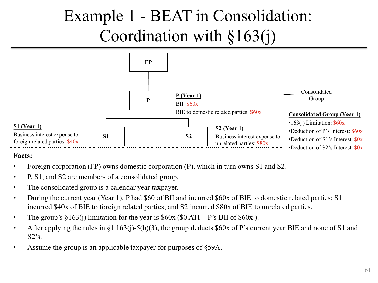

#### **Facts:**

- Foreign corporation (FP) owns domestic corporation (P), which in turn owns S1 and S2.
- P, S1, and S2 are members of a consolidated group.
- The consolidated group is a calendar year taxpayer.
- During the current year (Year 1), P had \$60 of BII and incurred \$60x of BIE to domestic related parties; S1 incurred \$40x of BIE to foreign related parties; and S2 incurred \$80x of BIE to unrelated parties.
- The group's  $\S 163(i)$  limitation for the year is  $\S 60x (\$0 ATI + P's BII of \$60x)$ .
- After applying the rules in §1.163(j)-5(b)(3), the group deducts \$60x of P's current year BIE and none of S1 and  $S2's$ .
- Assume the group is an applicable taxpayer for purposes of §59A.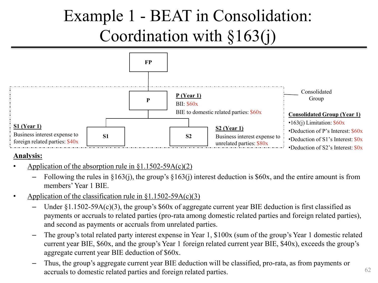

#### **Analysis:**

- Application of the absorption rule in  $\S 1.1502 59A(c)(2)$ 
	- Following the rules in  $\S163(i)$ , the group's  $\S163(i)$  interest deduction is  $\S60x$ , and the entire amount is from members' Year 1 BIE.
- Application of the classification rule in  $\S1.1502 59A(c)(3)$ 
	- Under  $\S1.1502-59A(c)(3)$ , the group's \$60x of aggregate current year BIE deduction is first classified as payments or accruals to related parties (pro-rata among domestic related parties and foreign related parties), and second as payments or accruals from unrelated parties.
	- The group's total related party interest expense in Year 1, \$100x (sum of the group's Year 1 domestic related current year BIE, \$60x, and the group's Year 1 foreign related current year BIE, \$40x), exceeds the group's aggregate current year BIE deduction of \$60x.
	- Thus, the group's aggregate current year BIE deduction will be classified, pro-rata, as from payments or accruals to domestic related parties and foreign related parties.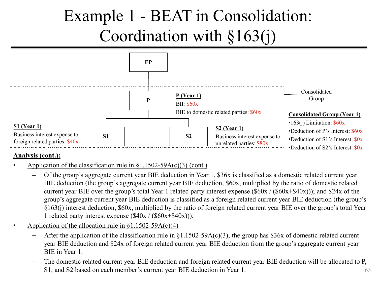

- Application of the classification rule in  $\S1.1502 59A(c)(3)$  (cont.)
	- Of the group's aggregate current year BIE deduction in Year 1, \$36x is classified as a domestic related current year BIE deduction (the group's aggregate current year BIE deduction, \$60x, multiplied by the ratio of domestic related current year BIE over the group's total Year 1 related party interest expense (\$60x / (\$60x+\$40x))); and \$24x of the group's aggregate current year BIE deduction is classified as a foreign related current year BIE deduction (the group's §163(j) interest deduction, \$60x, multiplied by the ratio of foreign related current year BIE over the group's total Year 1 related party interest expense  $(\$40x / ($60x+$40x$ )).
- Application of the allocation rule in  $\S 1.1502 59A(c)(4)$ 
	- After the application of the classification rule in  $\S1.1502-59A(c)(3)$ , the group has \$36x of domestic related current year BIE deduction and \$24x of foreign related current year BIE deduction from the group's aggregate current year BIE in Year 1.
	- 63 – The domestic related current year BIE deduction and foreign related current year BIE deduction will be allocated to P, S1, and S2 based on each member's current year BIE deduction in Year 1.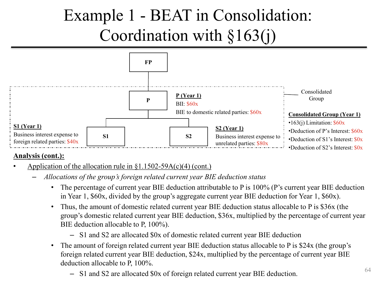

- Application of the allocation rule in  $\S 1.1502 59A(c)(4)$  (cont.)
	- *Allocations of the group's foreign related current year BIE deduction status*
		- The percentage of current year BIE deduction attributable to P is 100% (P's current year BIE deduction in Year 1, \$60x, divided by the group's aggregate current year BIE deduction for Year 1, \$60x).
		- Thus, the amount of domestic related current year BIE deduction status allocable to P is \$36x (the group's domestic related current year BIE deduction, \$36x, multiplied by the percentage of current year BIE deduction allocable to P, 100%).
			- S1 and S2 are allocated \$0x of domestic related current year BIE deduction
		- The amount of foreign related current year BIE deduction status allocable to P is \$24x (the group's foreign related current year BIE deduction, \$24x, multiplied by the percentage of current year BIE deduction allocable to P, 100%.
			- S1 and S2 are allocated \$0x of foreign related current year BIE deduction.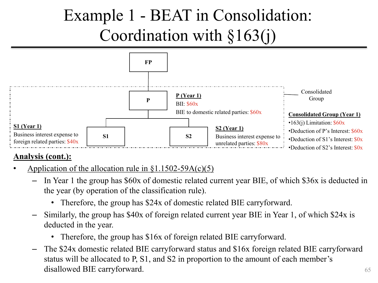

- Application of the allocation rule in  $\S 1.1502 59A(c)(5)$ 
	- In Year 1 the group has \$60x of domestic related current year BIE, of which \$36x is deducted in the year (by operation of the classification rule).
		- Therefore, the group has \$24x of domestic related BIE carryforward.
	- Similarly, the group has \$40x of foreign related current year BIE in Year 1, of which \$24x is deducted in the year.
		- Therefore, the group has \$16x of foreign related BIE carryforward.
	- The \$24x domestic related BIE carryforward status and \$16x foreign related BIE carryforward status will be allocated to P, S1, and S2 in proportion to the amount of each member's disallowed BIE carryforward.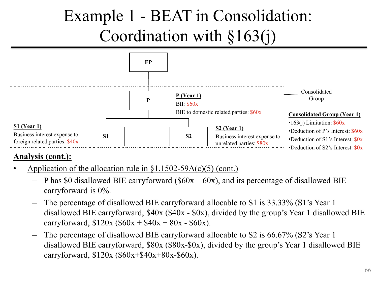

- Application of the allocation rule in  $\S 1.1502 59A(c)(5)$  (cont.)
	- P has \$0 disallowed BIE carryforward ( $60x 60x$ ), and its percentage of disallowed BIE carryforward is 0%.
	- The percentage of disallowed BIE carryforward allocable to S1 is 33.33% (S1's Year 1 disallowed BIE carryforward, \$40x (\$40x - \$0x), divided by the group's Year 1 disallowed BIE carryforward,  $$120x ($60x + $40x + 80x - $60x$ .
	- The percentage of disallowed BIE carryforward allocable to S2 is 66.67% (S2's Year 1 disallowed BIE carryforward, \$80x (\$80x-\$0x), divided by the group's Year 1 disallowed BIE carryforward, \$120x (\$60x+\$40x+80x-\$60x).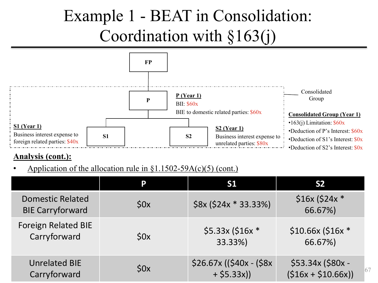

#### **Analysis (cont.):**

Application of the allocation rule in  $\S 1.1502 - 59A(c)(5)$  (cont.)

|                                                    | P   | S <sub>1</sub>                             | S <sub>2</sub>                                 |
|----------------------------------------------------|-----|--------------------------------------------|------------------------------------------------|
| <b>Domestic Related</b><br><b>BIE Carryforward</b> | 50x | $$8x ($24x * 33.33%)$                      | $$16x ($24x *$<br>66.67%)                      |
| <b>Foreign Related BIE</b><br>Carryforward         | 50x | $$5.33x$ (\$16x *<br>33.33%)               | $$10.66x$ (\$16x *<br>66.67%)                  |
| <b>Unrelated BIE</b><br>Carryforward               | 50x | $$26.67x$ ((\$40x - (\$8x)<br>$+ $5.33x$ ) | \$53.34x (\$80x -<br>67<br>$(516x + 510.66x))$ |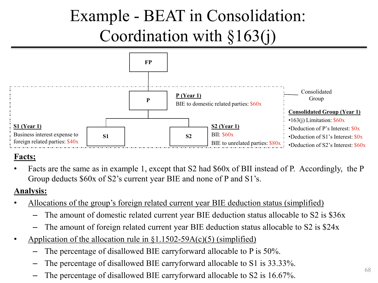

#### **Facts;**

• Facts are the same as in example 1, except that S2 had \$60x of BII instead of P. Accordingly, the P Group deducts \$60x of S2's current year BIE and none of P and S1's.

#### **Analysis:**

- Allocations of the group's foreign related current year BIE deduction status (simplified)
	- The amount of domestic related current year BIE deduction status allocable to S2 is \$36x
	- The amount of foreign related current year BIE deduction status allocable to S2 is \$24x
- Application of the allocation rule in  $\S1.1502-59A(c)(5)$  (simplified)
	- The percentage of disallowed BIE carryforward allocable to  $P$  is 50%.
	- The percentage of disallowed BIE carryforward allocable to S1 is 33.33%.
	- The percentage of disallowed BIE carryforward allocable to S2 is 16.67%.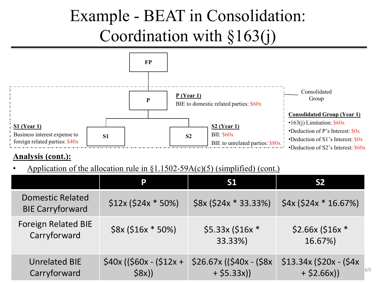

#### **Analysis (cont.):**

Application of the allocation rule in  $\S1.1502-59A(c)(5)$  (simplified) (cont.)

|                                                    | P                                  | S <sub>1</sub>                            | S <sub>2</sub>                                 |
|----------------------------------------------------|------------------------------------|-------------------------------------------|------------------------------------------------|
| <b>Domestic Related</b><br><b>BIE Carryforward</b> | $$12x ($24x * 50%)$                | $$8x ($24x * 33.33%)$                     | $$4x ($24x * 16.67%)$                          |
| <b>Foreign Related BIE</b><br>Carryforward         | $$8x ($16x * 50%)$                 | $$5.33x$ (\$16x *<br>33.33%)              | $$2.66x$ (\$16x *<br>16.67%)                   |
| <b>Unrelated BIE</b><br>Carryforward               | $$40x$ ((\$60x - (\$12x +<br>\$8x) | $$26.67x$ ((\$40x - (\$8x)<br>$+ $5.33x)$ | $$13.34x$ (\$20x - (\$4x)<br>69<br>$+ $2.66x)$ |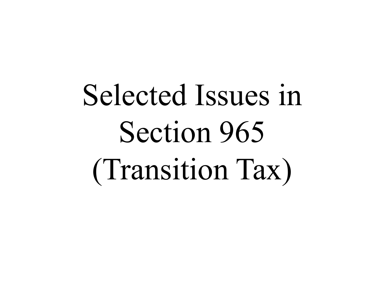# Selected Issues in Section 965 (Transition Tax)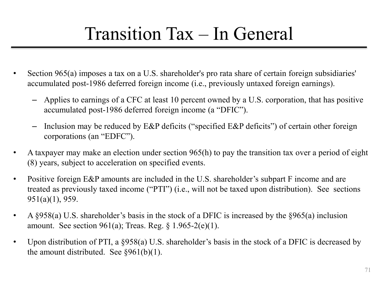### Transition Tax – In General

- Section 965(a) imposes a tax on a U.S. shareholder's pro rata share of certain foreign subsidiaries' accumulated post-1986 deferred foreign income (i.e., previously untaxed foreign earnings).
	- Applies to earnings of a CFC at least 10 percent owned by a U.S. corporation, that has positive accumulated post-1986 deferred foreign income (a "DFIC").
	- Inclusion may be reduced by E&P deficits ("specified E&P deficits") of certain other foreign corporations (an "EDFC").
- A taxpayer may make an election under section 965(h) to pay the transition tax over a period of eight (8) years, subject to acceleration on specified events.
- Positive foreign E&P amounts are included in the U.S. shareholder's subpart F income and are treated as previously taxed income ("PTI") (i.e., will not be taxed upon distribution). See sections 951(a)(1), 959.
- A §958(a) U.S. shareholder's basis in the stock of a DFIC is increased by the §965(a) inclusion amount. See section 961(a); Treas. Reg.  $\S 1.965-2(e)(1)$ .
- Upon distribution of PTI, a §958(a) U.S. shareholder's basis in the stock of a DFIC is decreased by the amount distributed. See  $\S 961(b)(1)$ .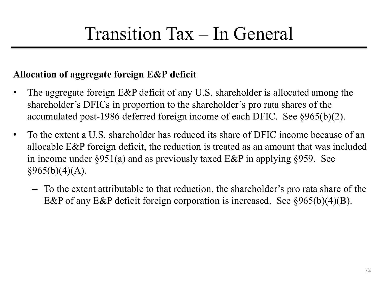#### **Allocation of aggregate foreign E&P deficit**

- The aggregate foreign E&P deficit of any U.S. shareholder is allocated among the shareholder's DFICs in proportion to the shareholder's pro rata shares of the accumulated post-1986 deferred foreign income of each DFIC. See §965(b)(2).
- To the extent a U.S. shareholder has reduced its share of DFIC income because of an allocable E&P foreign deficit, the reduction is treated as an amount that was included in income under §951(a) and as previously taxed E&P in applying §959. See  $§965(b)(4)(A).$ 
	- To the extent attributable to that reduction, the shareholder's pro rata share of the E&P of any E&P deficit foreign corporation is increased. See §965(b)(4)(B).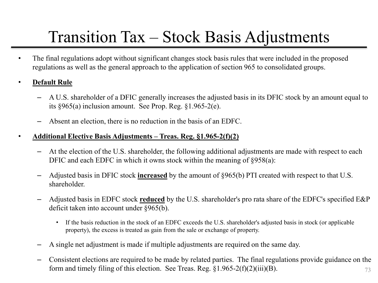# Transition Tax – Stock Basis Adjustments

- The final regulations adopt without significant changes stock basis rules that were included in the proposed regulations as well as the general approach to the application of section 965 to consolidated groups.
- **Default Rule**
	- A U.S. shareholder of a DFIC generally increases the adjusted basis in its DFIC stock by an amount equal to its §965(a) inclusion amount. See Prop. Reg. §1.965-2(e).
	- Absent an election, there is no reduction in the basis of an EDFC.
- **Additional Elective Basis Adjustments – Treas. Reg. §1.965-2(f)(2)**
	- At the election of the U.S. shareholder, the following additional adjustments are made with respect to each DFIC and each EDFC in which it owns stock within the meaning of  $\S 958(a)$ :
	- Adjusted basis in DFIC stock **increased** by the amount of §965(b) PTI created with respect to that U.S. shareholder.
	- Adjusted basis in EDFC stock **reduced** by the U.S. shareholder's pro rata share of the EDFC's specified E&P deficit taken into account under §965(b).
		- If the basis reduction in the stock of an EDFC exceeds the U.S. shareholder's adjusted basis in stock (or applicable property), the excess is treated as gain from the sale or exchange of property.
	- A single net adjustment is made if multiple adjustments are required on the same day.
	- 73 – Consistent elections are required to be made by related parties. The final regulations provide guidance on the form and timely filing of this election. See Treas. Reg.  $\S1.965-2(f)(2)(iii)(B)$ .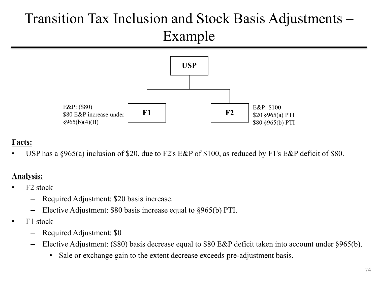## Transition Tax Inclusion and Stock Basis Adjustments – Example



### **Facts:**

USP has a §965(a) inclusion of \$20, due to F2's E&P of \$100, as reduced by F1's E&P deficit of \$80.

### **Analysis:**

- F2 stock
	- Required Adjustment: \$20 basis increase.
	- Elective Adjustment: \$80 basis increase equal to §965(b) PTI.
- F1 stock
	- Required Adjustment: \$0
	- Elective Adjustment: (\$80) basis decrease equal to \$80 E&P deficit taken into account under §965(b).
		- Sale or exchange gain to the extent decrease exceeds pre-adjustment basis.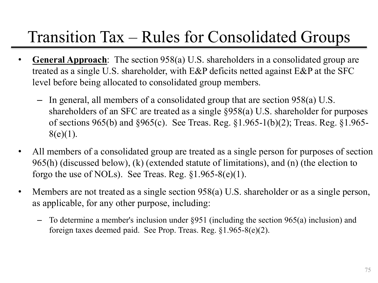## Transition Tax – Rules for Consolidated Groups

- **General Approach**: The section 958(a) U.S. shareholders in a consolidated group are treated as a single U.S. shareholder, with E&P deficits netted against E&P at the SFC level before being allocated to consolidated group members.
	- In general, all members of a consolidated group that are section 958(a) U.S. shareholders of an SFC are treated as a single §958(a) U.S. shareholder for purposes of sections 965(b) and §965(c). See Treas. Reg. §1.965-1(b)(2); Treas. Reg. §1.965-  $8(e)(1)$ .
- All members of a consolidated group are treated as a single person for purposes of section 965(h) (discussed below), (k) (extended statute of limitations), and (n) (the election to forgo the use of NOLs). See Treas. Reg.  $\S1.965-8(e)(1)$ .
- Members are not treated as a single section 958(a) U.S. shareholder or as a single person, as applicable, for any other purpose, including:
	- To determine a member's inclusion under §951 (including the section 965(a) inclusion) and foreign taxes deemed paid. See Prop. Treas. Reg. §1.965-8(e)(2).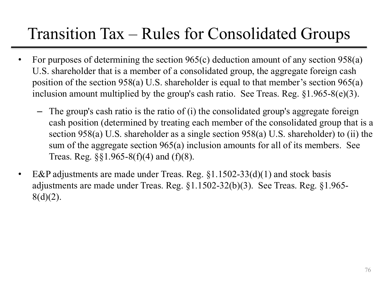## Transition Tax – Rules for Consolidated Groups

- For purposes of determining the section  $965(c)$  deduction amount of any section  $958(a)$ U.S. shareholder that is a member of a consolidated group, the aggregate foreign cash position of the section 958(a) U.S. shareholder is equal to that member's section 965(a) inclusion amount multiplied by the group's cash ratio. See Treas. Reg. §1.965-8(e)(3).
	- The group's cash ratio is the ratio of (i) the consolidated group's aggregate foreign cash position (determined by treating each member of the consolidated group that is a section 958(a) U.S. shareholder as a single section 958(a) U.S. shareholder) to (ii) the sum of the aggregate section 965(a) inclusion amounts for all of its members. See Treas. Reg. §§1.965-8(f)(4) and (f)(8).
- E&P adjustments are made under Treas. Reg.  $\S1.1502-33(d)(1)$  and stock basis adjustments are made under Treas. Reg. §1.1502-32(b)(3). See Treas. Reg. §1.965-  $8(d)(2)$ .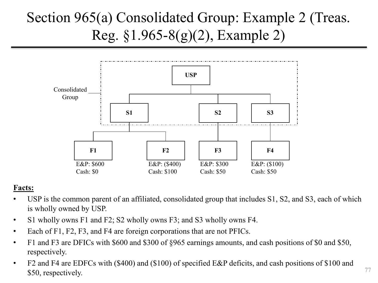## Section 965(a) Consolidated Group: Example 2 (Treas. Reg. §1.965-8(g)(2), Example 2)



### **Facts:**

- USP is the common parent of an affiliated, consolidated group that includes S1, S2, and S3, each of which is wholly owned by USP.
- S1 wholly owns F1 and F2; S2 wholly owns F3; and S3 wholly owns F4.
- Each of F1, F2, F3, and F4 are foreign corporations that are not PFICs.
- F1 and F3 are DFICs with \$600 and \$300 of §965 earnings amounts, and cash positions of \$0 and \$50, respectively.
- F2 and F4 are EDFCs with (\$400) and (\$100) of specified E&P deficits, and cash positions of \$100 and \$50, respectively.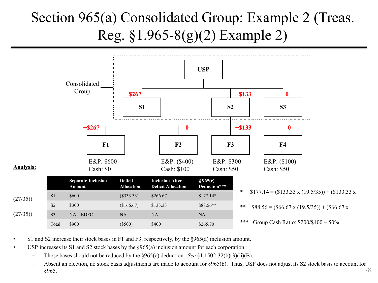## Section 965(a) Consolidated Group: Example 2 (Treas. Reg. §1.965-8(g)(2) Example 2)



- S1 and S2 increase their stock bases in F1 and F3, respectively, by the §965(a) inclusion amount.
- USP increases its S1 and S2 stock bases by the  $\frac{8965(a)}{a}$  inclusion amount for each corporation.
	- Those bases should not be reduced by the §965(c) deduction. *See* §1.1502-32(b)(3)(ii)(B).
	- 78 – Absent an election, no stock basis adjustments are made to account for §965(b). Thus, USP does not adjust its S2 stock basis to account for §965.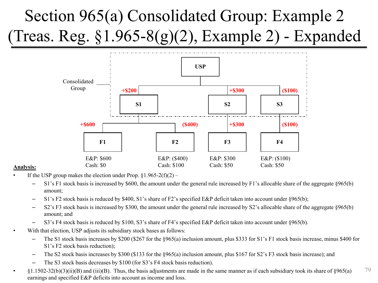# Section 965(a) Consolidated Group: Example 2 (Treas. Reg. §1.965-8(g)(2), Example 2) - Expanded



#### **Analysis:**

- If the USP group makes the election under Prop.  $\S1.965-2(f)(2)$ 
	- S1's F1 stock basis is increased by \$600, the amount under the general rule increased by F1's allocable share of the aggregate §965(b) amount;
	- S1's F2 stock basis is reduced by \$400, S1's share of F2's specified E&P deficit taken into account under §965(b);
	- S2's F3 stock basis is increased by \$300, the amount under the general rule increased by S2's allocable share of the aggregate §965(b) amount; and
	- S3's F4 stock basis is reduced by \$100, S3's share of F4's specified E&P deficit taken into account under §965(b).
	- With that election, USP adjusts its subsidiary stock bases as follows:
		- The S1 stock basis increases by \$200 (\$267 for the §965(a) inclusion amount, plus \$333 for S1's F1 stock basis increase, minus \$400 for S1's F2 stock basis reduction);
		- The S2 stock basis increases by \$300 (\$133 for the §965(a) inclusion amount, plus \$167 for S2's F3 stock basis increase); and
		- The S3 stock basis decreases by \$100 (for S3's F4 stock basis reduction).
- 79  $\{1.1502-32(b)(3)(ii)(B)$  and (iii)(B). Thus, the basis adjustments are made in the same manner as if each subsidiary took its share of  $\S965(a)$ earnings and specified E&P deficits into account as income and loss.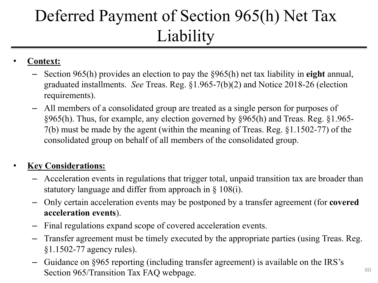# Deferred Payment of Section 965(h) Net Tax Liability

### • **Context:**

- Section 965(h) provides an election to pay the §965(h) net tax liability in **eight** annual, graduated installments. *See* Treas. Reg. §1.965-7(b)(2) and Notice 2018-26 (election requirements).
- All members of a consolidated group are treated as a single person for purposes of §965(h). Thus, for example, any election governed by §965(h) and Treas. Reg. §1.965- 7(b) must be made by the agent (within the meaning of Treas. Reg. §1.1502-77) of the consolidated group on behalf of all members of the consolidated group.

### • **Key Considerations:**

- Acceleration events in regulations that trigger total, unpaid transition tax are broader than statutory language and differ from approach in § 108(i).
- Only certain acceleration events may be postponed by a transfer agreement (for **covered acceleration events**).
- Final regulations expand scope of covered acceleration events.
- Transfer agreement must be timely executed by the appropriate parties (using Treas. Reg. §1.1502-77 agency rules).
- Guidance on §965 reporting (including transfer agreement) is available on the IRS's Section 965/Transition Tax FAQ webpage.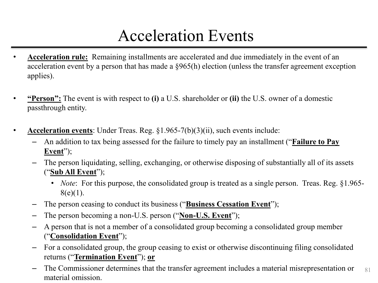## Acceleration Events

- **Acceleration rule:** Remaining installments are accelerated and due immediately in the event of an acceleration event by a person that has made a §965(h) election (unless the transfer agreement exception applies).
- **"Person":** The event is with respect to **(i)** a U.S. shareholder or **(ii)** the U.S. owner of a domestic passthrough entity.
- **Acceleration events**: Under Treas. Reg. §1.965-7(b)(3)(ii), such events include:
	- An addition to tax being assessed for the failure to timely pay an installment ("**Failure to Pay**  Event");
	- The person liquidating, selling, exchanging, or otherwise disposing of substantially all of its assets ("**Sub All Event**");
		- *Note*: For this purpose, the consolidated group is treated as a single person. Treas. Reg. §1.965- $8(e)(1)$ .
	- The person ceasing to conduct its business ("**Business Cessation Event**");
	- The person becoming a non-U.S. person ("**Non-U.S. Event**");
	- A person that is not a member of a consolidated group becoming a consolidated group member ("**Consolidation Event**");
	- For a consolidated group, the group ceasing to exist or otherwise discontinuing filing consolidated returns ("**Termination Event**"); **or**
	- 81 – The Commissioner determines that the transfer agreement includes a material misrepresentation or material omission.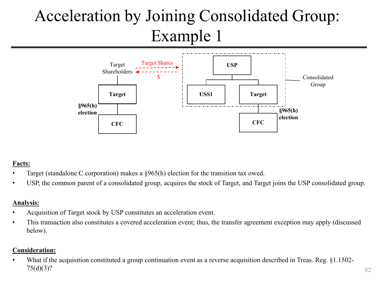# Acceleration by Joining Consolidated Group: Example 1



### **Facts:**

- Target (standalone C corporation) makes a §965(h) election for the transition tax owed.
- USP, the common parent of a consolidated group, acquires the stock of Target, and Target joins the USP consolidated group.

#### **Analysis:**

- Acquisition of Target stock by USP constitutes an acceleration event.
- This transaction also constitutes a covered acceleration event; thus, the transfer agreement exception may apply (discussed below).

#### **Consideration:**

• What if the acquisition constituted a group continuation event as a reverse acquisition described in Treas. Reg. §1.1502-75(d)(3)?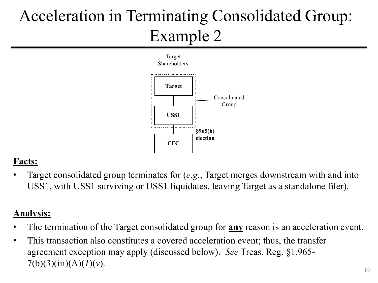# Acceleration in Terminating Consolidated Group: Example 2



### **Facts:**

• Target consolidated group terminates for (*e.g.*, Target merges downstream with and into USS1, with USS1 surviving or USS1 liquidates, leaving Target as a standalone filer).

### **Analysis:**

- The termination of the Target consolidated group for **any** reason is an acceleration event.
- This transaction also constitutes a covered acceleration event; thus, the transfer agreement exception may apply (discussed below). *See* Treas. Reg. §1.965-  $7(b)(3)(iii)(A)(I)(v).$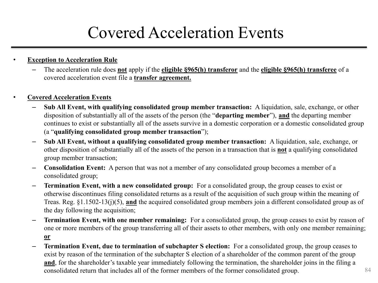## Covered Acceleration Events

### **Exception to Acceleration Rule**

– The acceleration rule does **not** apply if the **eligible §965(h) transferor** and the **eligible §965(h) transferee** of a covered acceleration event file a **transfer agreement.**

#### • **Covered Acceleration Events**

- **Sub All Event, with qualifying consolidated group member transaction:** A liquidation, sale, exchange, or other disposition of substantially all of the assets of the person (the "**departing member**"), **and** the departing member continues to exist or substantially all of the assets survive in a domestic corporation or a domestic consolidated group (a "**qualifying consolidated group member transaction**");
- **Sub All Event, without a qualifying consolidated group member transaction:** A liquidation, sale, exchange, or other disposition of substantially all of the assets of the person in a transaction that is **not** a qualifying consolidated group member transaction;
- **Consolidation Event:** A person that was not a member of any consolidated group becomes a member of a consolidated group;
- **Termination Event, with a new consolidated group:** For a consolidated group, the group ceases to exist or otherwise discontinues filing consolidated returns as a result of the acquisition of such group within the meaning of Treas. Reg. §1.1502-13(j)(5), **and** the acquired consolidated group members join a different consolidated group as of the day following the acquisition;
- **Termination Event, with one member remaining:** For a consolidated group, the group ceases to exist by reason of one or more members of the group transferring all of their assets to other members, with only one member remaining; **or**
- **Termination Event, due to termination of subchapter S election:** For a consolidated group, the group ceases to exist by reason of the termination of the subchapter S election of a shareholder of the common parent of the group **and**, for the shareholder's taxable year immediately following the termination, the shareholder joins in the filing a consolidated return that includes all of the former members of the former consolidated group.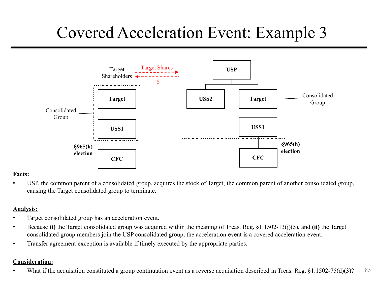## Covered Acceleration Event: Example 3



#### **Facts:**

• USP, the common parent of a consolidated group, acquires the stock of Target, the common parent of another consolidated group, causing the Target consolidated group to terminate.

#### **Analysis:**

- Target consolidated group has an acceleration event.
- Because **(i)** the Target consolidated group was acquired within the meaning of Treas. Reg. §1.1502-13(j)(5), and **(ii)** the Target consolidated group members join the USP consolidated group, the acceleration event is a covered acceleration event.
- Transfer agreement exception is available if timely executed by the appropriate parties.

#### **Consideration:**

85 What if the acquisition constituted a group continuation event as a reverse acquisition described in Treas. Reg. §1.1502-75(d)(3)?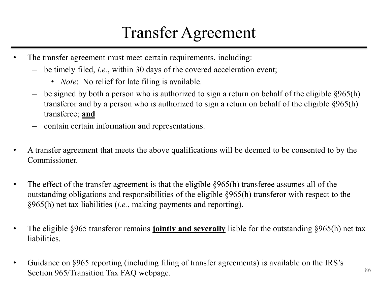## Transfer Agreement

- The transfer agreement must meet certain requirements, including:
	- be timely filed, *i.e.*, within 30 days of the covered acceleration event;
		- *Note*: No relief for late filing is available.
	- $-$  be signed by both a person who is authorized to sign a return on behalf of the eligible  $\S 965(h)$ transferor and by a person who is authorized to sign a return on behalf of the eligible §965(h) transferee; **and**
	- contain certain information and representations.
- A transfer agreement that meets the above qualifications will be deemed to be consented to by the Commissioner.
- The effect of the transfer agreement is that the eligible §965(h) transferee assumes all of the outstanding obligations and responsibilities of the eligible §965(h) transferor with respect to the §965(h) net tax liabilities (*i.e.*, making payments and reporting).
- The eligible §965 transferor remains **jointly and severally** liable for the outstanding §965(h) net tax liabilities.
- Guidance on §965 reporting (including filing of transfer agreements) is available on the IRS's Section 965/Transition Tax FAQ webpage.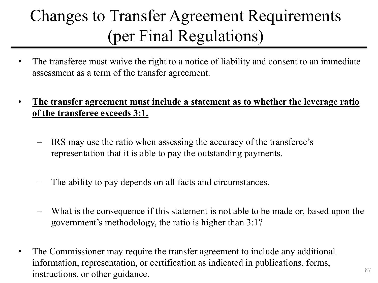# Changes to Transfer Agreement Requirements (per Final Regulations)

- The transferee must waive the right to a notice of liability and consent to an immediate assessment as a term of the transfer agreement.
- **The transfer agreement must include a statement as to whether the leverage ratio of the transferee exceeds 3:1.**
	- IRS may use the ratio when assessing the accuracy of the transferee's representation that it is able to pay the outstanding payments.
	- The ability to pay depends on all facts and circumstances.
	- What is the consequence if this statement is not able to be made or, based upon the government's methodology, the ratio is higher than 3:1?
- The Commissioner may require the transfer agreement to include any additional information, representation, or certification as indicated in publications, forms, instructions, or other guidance.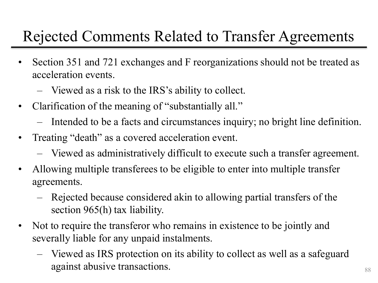## Rejected Comments Related to Transfer Agreements

- Section 351 and 721 exchanges and F reorganizations should not be treated as acceleration events.
	- Viewed as a risk to the IRS's ability to collect.
- Clarification of the meaning of "substantially all."
	- Intended to be a facts and circumstances inquiry; no bright line definition.
- Treating "death" as a covered acceleration event.
	- Viewed as administratively difficult to execute such a transfer agreement.
- Allowing multiple transferees to be eligible to enter into multiple transfer agreements.
	- Rejected because considered akin to allowing partial transfers of the section 965(h) tax liability.
- Not to require the transferor who remains in existence to be jointly and severally liable for any unpaid instalments.
	- Viewed as IRS protection on its ability to collect as well as a safeguard against abusive transactions.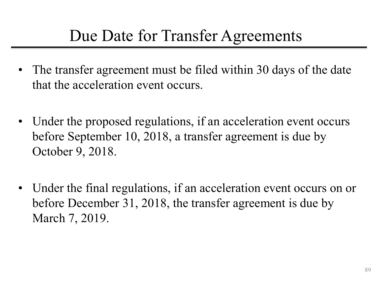## Due Date for Transfer Agreements

- The transfer agreement must be filed within 30 days of the date that the acceleration event occurs.
- Under the proposed regulations, if an acceleration event occurs before September 10, 2018, a transfer agreement is due by October 9, 2018.
- Under the final regulations, if an acceleration event occurs on or before December 31, 2018, the transfer agreement is due by March 7, 2019.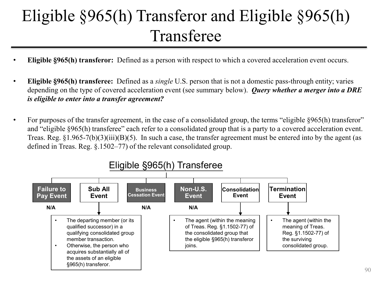# Eligible §965(h) Transferor and Eligible §965(h) Transferee

- **Eligible §965(h) transferor:** Defined as a person with respect to which a covered acceleration event occurs.
- **Eligible §965(h) transferee:** Defined as a *single* U.S. person that is not a domestic pass-through entity; varies depending on the type of covered acceleration event (see summary below). *Query whether a merger into a DRE is eligible to enter into a transfer agreement?*
- For purposes of the transfer agreement, in the case of a consolidated group, the terms "eligible §965(h) transferor" and "eligible §965(h) transferee" each refer to a consolidated group that is a party to a covered acceleration event. Treas. Reg.  $\S1.965-7(b)(3)(iii)(B)(5)$ . In such a case, the transfer agreement must be entered into by the agent (as defined in Treas. Reg. §.1502–77) of the relevant consolidated group.

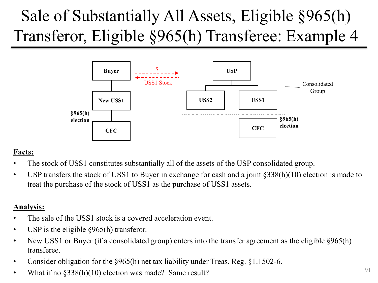# Sale of Substantially All Assets, Eligible §965(h) Transferor, Eligible §965(h) Transferee: Example 4



### **Facts:**

- The stock of USS1 constitutes substantially all of the assets of the USP consolidated group.
- USP transfers the stock of USS1 to Buyer in exchange for cash and a joint  $\S 338(h)(10)$  election is made to treat the purchase of the stock of USS1 as the purchase of USS1 assets.

### **Analysis:**

- The sale of the USS1 stock is a covered acceleration event.
- USP is the eligible  $\frac{8965(h)}{h}$  transferor.
- New USS1 or Buyer (if a consolidated group) enters into the transfer agreement as the eligible §965(h) transferee.
- Consider obligation for the §965(h) net tax liability under Treas. Reg. §1.1502-6.
- What if no  $\S 338(h)(10)$  election was made? Same result?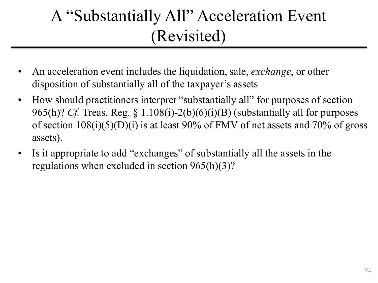# A "Substantially All" Acceleration Event (Revisited)

- An acceleration event includes the liquidation, sale, *exchange*, or other disposition of substantially all of the taxpayer's assets
- How should practitioners interpret "substantially all" for purposes of section 965(h)? *Cf.* Treas. Reg. § 1.108(i)-2(b)(6)(i)(B) (substantially all for purposes of section  $108(i)(5)(D)(i)$  is at least 90% of FMV of net assets and 70% of gross assets).
- Is it appropriate to add "exchanges" of substantially all the assets in the regulations when excluded in section 965(h)(3)?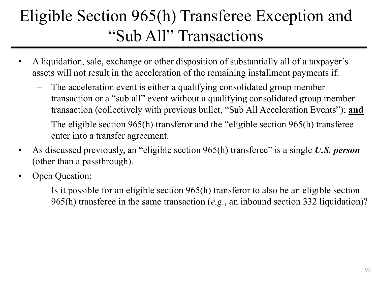# Eligible Section 965(h) Transferee Exception and "Sub All" Transactions

- A liquidation, sale, exchange or other disposition of substantially all of a taxpayer's assets will not result in the acceleration of the remaining installment payments if:
	- The acceleration event is either a qualifying consolidated group member transaction or a "sub all" event without a qualifying consolidated group member transaction (collectively with previous bullet, "Sub All Acceleration Events"); **and**
	- The eligible section 965(h) transferor and the "eligible section 965(h) transferee enter into a transfer agreement.
- As discussed previously, an "eligible section 965(h) transferee" is a single *U.S. person* (other than a passthrough).
- Open Question:
	- Is it possible for an eligible section 965(h) transferor to also be an eligible section 965(h) transferee in the same transaction (*e.g.*, an inbound section 332 liquidation)?